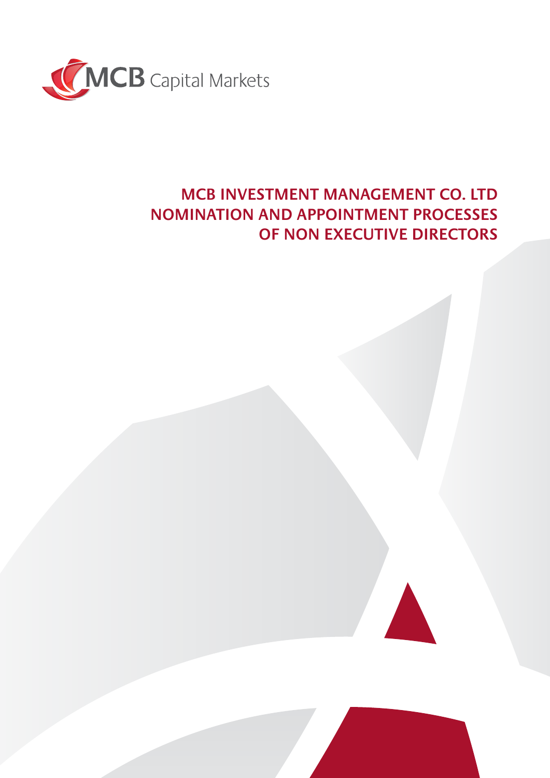

## **MCB INVESTMENT MANAGEMENT CO. LTD NOMINATION AND APPOINTMENT PROCESSES OF NON EXECUTIVE DIRECTORS**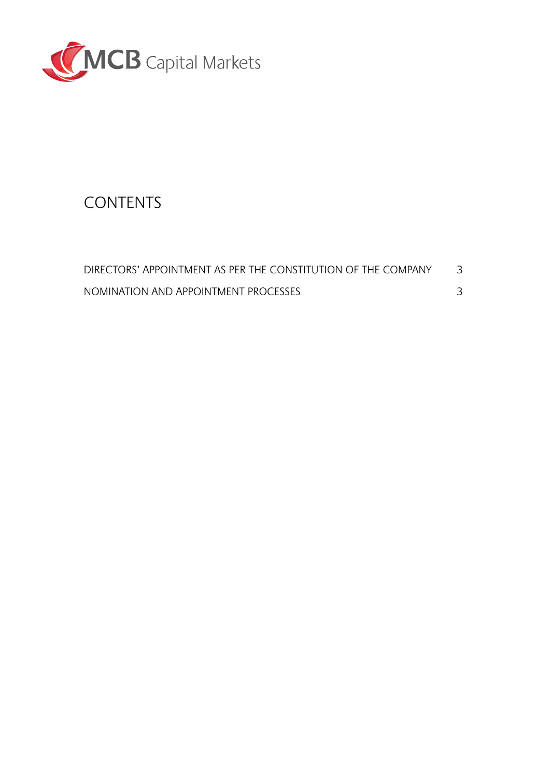

# **CONTENTS**

| DIRECTORS' APPOINTMENT AS PER THE CONSTITUTION OF THE COMPANY |  |
|---------------------------------------------------------------|--|
| NOMINATION AND APPOINTMENT PROCESSES                          |  |